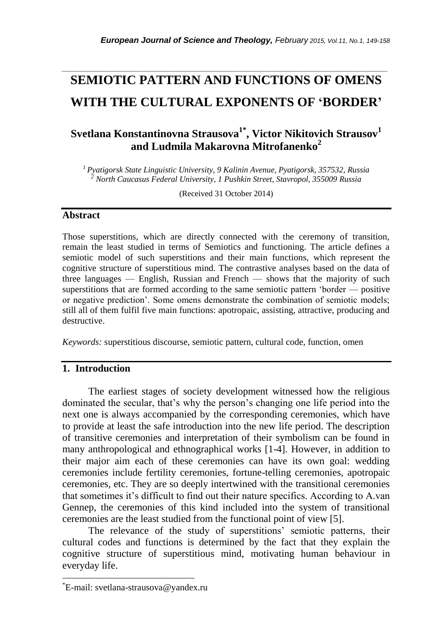# **SEMIOTIC PATTERN AND FUNCTIONS OF OMENS WITH THE CULTURAL EXPONENTS OF 'BORDER'**

*\_\_\_\_\_\_\_\_\_\_\_\_\_\_\_\_\_\_\_\_\_\_\_\_\_\_\_\_\_\_\_\_\_\_\_\_\_\_\_\_\_\_\_\_\_\_\_\_\_\_\_\_\_\_\_\_\_\_\_\_\_\_\_\_\_\_\_\_\_\_\_*

## **Svetlana Konstantinovna Strausova1\* , Victor Nikitovich Strausov<sup>1</sup> and Ludmila Makarovna Mitrofanenko<sup>2</sup>**

*<sup>1</sup>Pyatigorsk State Linguistic University, 9 Kalinin Avenue, Pyatigorsk, 357532, Russia <sup>2</sup> North Caucasus Federal University, 1 Pushkin Street, Stavropol, 355009 Russia*

(Received 31 October 2014)

#### **Abstract**

Those superstitions, which are directly connected with the ceremony of transition, remain the least studied in terms of Semiotics and functioning. The article defines a semiotic model of such superstitions and their main functions, which represent the cognitive structure of superstitious mind. The contrastive analyses based on the data of three languages — English, Russian and French — shows that the majority of such superstitions that are formed according to the same semiotic pattern 'border — positive or negative prediction'. Some omens demonstrate the combination of semiotic models; still all of them fulfil five main functions: apotropaic, assisting, attractive, producing and destructive.

*Keywords:* superstitious discourse, semiotic pattern, cultural code, function, omen

#### **1. Introduction**

The earliest stages of society development witnessed how the religious dominated the secular, that's why the person's changing one life period into the next one is always accompanied by the corresponding ceremonies, which have to provide at least the safe introduction into the new life period. The description of transitive ceremonies and interpretation of their symbolism can be found in many anthropological and ethnographical works [1-4]. However, in addition to their major aim each of these ceremonies can have its own goal: wedding ceremonies include fertility ceremonies, fortune-telling ceremonies, apotropaic ceremonies, etc. They are so deeply intertwined with the transitional ceremonies that sometimes it's difficult to find out their nature specifics. According to A.van Gennep, the ceremonies of this kind included into the system of transitional ceremonies are the least studied from the functional point of view [5].

The relevance of the study of superstitions' semiotic patterns, their cultural codes and functions is determined by the fact that they explain the cognitive structure of superstitious mind, motivating human behaviour in everyday life.

l

<sup>\*</sup>E-mail: svetlana-strausova@yandex.ru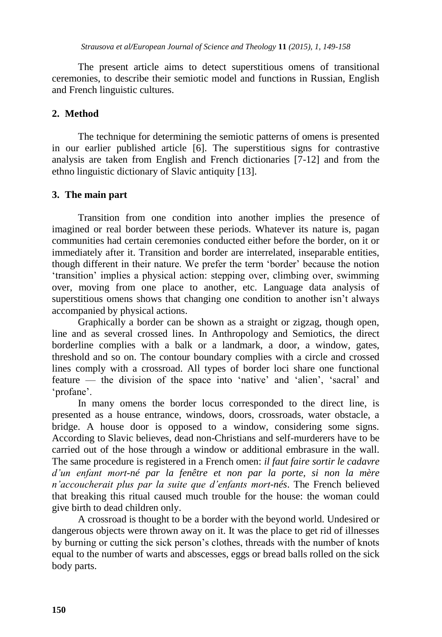The present article aims to detect superstitious omens of transitional ceremonies, to describe their semiotic model and functions in Russian, English and French linguistic cultures.

### **2. Method**

The technique for determining the semiotic patterns of omens is presented in our earlier published article [6]. The superstitious signs for contrastive analysis are taken from English and French dictionaries [7-12] and from the ethno linguistic dictionary of Slavic antiquity [13].

### **3. The main part**

Transition from one condition into another implies the presence of imagined or real border between these periods. Whatever its nature is, pagan communities had certain ceremonies conducted either before the border, on it or immediately after it. Transition and border are interrelated, inseparable entities, though different in their nature. We prefer the term 'border' because the notion 'transition' implies a physical action: stepping over, climbing over, swimming over, moving from one place to another, etc. Language data analysis of superstitious omens shows that changing one condition to another isn't always accompanied by physical actions.

Graphically a border can be shown as a straight or zigzag, though open, line and as several crossed lines. In Anthropology and Semiotics, the direct borderline complies with a balk or a landmark, a door, a window, gates, threshold and so on. The contour boundary complies with a circle and crossed lines comply with a crossroad. All types of border loci share one functional feature — the division of the space into 'native' and 'alien', 'sacral' and 'profane'.

In many omens the border locus corresponded to the direct line, is presented as a house entrance, windows, doors, crossroads, water obstacle, a bridge. A house door is opposed to a window, considering some signs. According to Slavic believes, dead non-Christians and self-murderers have to be carried out of the hose through a window or additional embrasure in the wall. The same procedure is registered in a French omen: *il faut faire sortir le cadavre d"un enfant mort-né par la fenêtre et non par la porte, si non la mère n"accoucherait plus par la suite que d"enfants mort-nés*. The French believed that breaking this ritual caused much trouble for the house: the woman could give birth to dead children only.

A crossroad is thought to be a border with the beyond world. Undesired or dangerous objects were thrown away on it. It was the place to get rid of illnesses by burning or cutting the sick person's clothes, threads with the number of knots equal to the number of warts and abscesses, eggs or bread balls rolled on the sick body parts.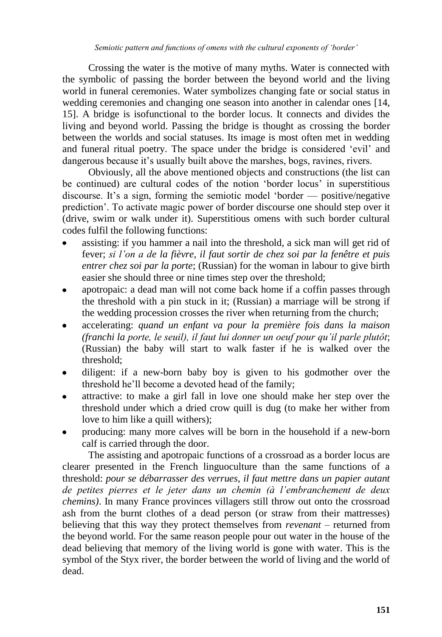Crossing the water is the motive of many myths. Water is connected with the symbolic of passing the border between the beyond world and the living world in funeral ceremonies. Water symbolizes changing fate or social status in wedding ceremonies and changing one season into another in calendar ones [14, 15]. A bridge is isofunctional to the border locus. It connects and divides the living and beyond world. Passing the bridge is thought as crossing the border between the worlds and social statuses. Its image is most often met in wedding and funeral ritual poetry. The space under the bridge is considered 'evil' and dangerous because it's usually built above the marshes, bogs, ravines, rivers.

Obviously, all the above mentioned objects and constructions (the list can be continued) are cultural codes of the notion 'border locus' in superstitious discourse. It's a sign, forming the semiotic model 'border — positive/negative prediction'. To activate magic power of border discourse one should step over it (drive, swim or walk under it). Superstitious omens with such border cultural codes fulfil the following functions:

- assisting: if you hammer a nail into the threshold, a sick man will get rid of fever; *si l"on a de la fièvre, il faut sortir de chez soi par la fenêtre et puis entrer chez soi par la porte*; (Russian) for the woman in labour to give birth easier she should three or nine times step over the threshold;
- apotropaic: a dead man will not come back home if a coffin passes through the threshold with a pin stuck in it; (Russian) a marriage will be strong if the wedding procession crosses the river when returning from the church;
- accelerating: *quand un enfant va pour la première fois dans la maison (franchi la porte, le seuil), il faut lui donner un oeuf pour qu"il parle plutôt*; (Russian) the baby will start to walk faster if he is walked over the threshold;
- diligent: if a new-born baby boy is given to his godmother over the threshold he'll become a devoted head of the family;
- attractive: to make a girl fall in love one should make her step over the threshold under which a dried crow quill is dug (to make her wither from love to him like a quill withers);
- producing: many more calves will be born in the household if a new-born calf is carried through the door.

The assisting and apotropaic functions of a crossroad as a border locus are clearer presented in the French linguoculture than the same functions of a threshold: *pour se débarrasser des verrues, il faut mettre dans un papier autant de petites pierres et le jeter dans un chemin (à l"embranchement de deux chemins)*. In many France provinces villagers still throw out onto the crossroad ash from the burnt clothes of a dead person (or straw from their mattresses) believing that this way they protect themselves from *revenant* – returned from the beyond world. For the same reason people pour out water in the house of the dead believing that memory of the living world is gone with water. This is the symbol of the Styx river, the border between the world of living and the world of dead.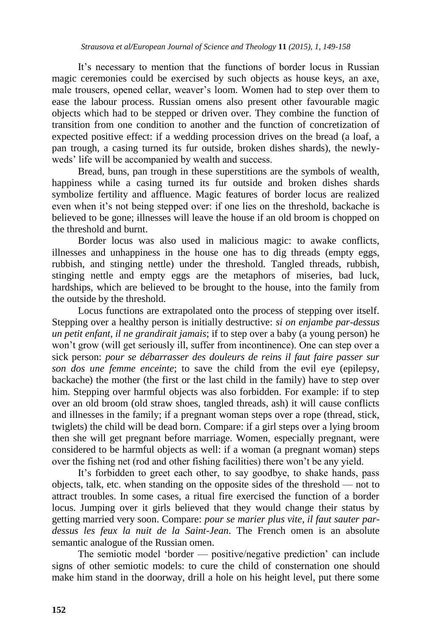It's necessary to mention that the functions of border locus in Russian magic ceremonies could be exercised by such objects as house keys, an axe, male trousers, opened cellar, weaver's loom. Women had to step over them to ease the labour process. Russian omens also present other favourable magic objects which had to be stepped or driven over. They combine the function of transition from one condition to another and the function of concretization of expected positive effect: if a wedding procession drives on the bread (a loaf, a pan trough, a casing turned its fur outside, broken dishes shards), the newlyweds' life will be accompanied by wealth and success.

Bread, buns, pan trough in these superstitions are the symbols of wealth, happiness while a casing turned its fur outside and broken dishes shards symbolize fertility and affluence. Magic features of border locus are realized even when it's not being stepped over: if one lies on the threshold, backache is believed to be gone; illnesses will leave the house if an old broom is chopped on the threshold and burnt.

Border locus was also used in malicious magic: to awake conflicts, illnesses and unhappiness in the house one has to dig threads (empty eggs, rubbish, and stinging nettle) under the threshold. Tangled threads, rubbish, stinging nettle and empty eggs are the metaphors of miseries, bad luck, hardships, which are believed to be brought to the house, into the family from the outside by the threshold.

Locus functions are extrapolated onto the process of stepping over itself. Stepping over a healthy person is initially destructive: *si on enjambe par-dessus un petit enfant, il ne grandirait jamais*; if to step over a baby (a young person) he won't grow (will get seriously ill, suffer from incontinence). One can step over a sick person: *pour se débarrasser des douleurs de reins il faut faire passer sur son dos une femme enceinte*; to save the child from the evil eye (epilepsy, backache) the mother (the first or the last child in the family) have to step over him. Stepping over harmful objects was also forbidden. For example: if to step over an old broom (old straw shoes, tangled threads, ash) it will cause conflicts and illnesses in the family; if a pregnant woman steps over a rope (thread, stick, twiglets) the child will be dead born. Compare: if a girl steps over a lying broom then she will get pregnant before marriage. Women, especially pregnant, were considered to be harmful objects as well: if a woman (a pregnant woman) steps over the fishing net (rod and other fishing facilities) there won't be any yield.

It's forbidden to greet each other, to say goodbye, to shake hands, pass objects, talk, etc. when standing on the opposite sides of the threshold — not to attract troubles. In some cases, a ritual fire exercised the function of a border locus. Jumping over it girls believed that they would change their status by getting married very soon. Compare: *pour se marier plus vite, il faut sauter pardessus les feux la nuit de la Saint-Jean*. The French omen is an absolute semantic analogue of the Russian omen.

The semiotic model 'border — positive/negative prediction' can include signs of other semiotic models: to cure the child of consternation one should make him stand in the doorway, drill a hole on his height level, put there some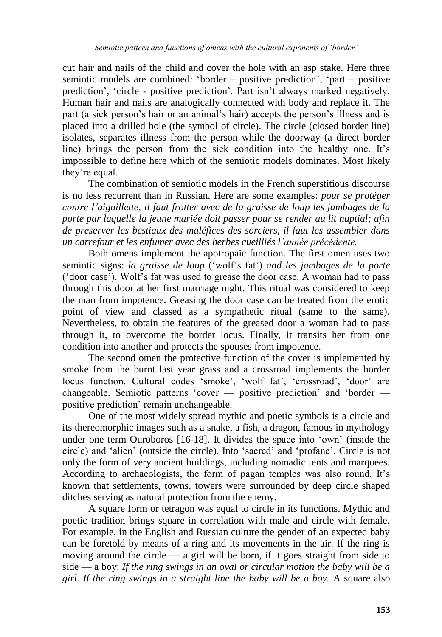cut hair and nails of the child and cover the hole with an asp stake. Here three semiotic models are combined: 'border – positive prediction', 'part – positive prediction', 'circle - positive prediction'. Part isn't always marked negatively. Human hair and nails are analogically connected with body and replace it. The part (a sick person's hair or an animal's hair) accepts the person's illness and is placed into a drilled hole (the symbol of circle). The circle (closed border line) isolates, separates illness from the person while the doorway (a direct border line) brings the person from the sick condition into the healthy one. It's impossible to define here which of the semiotic models dominates. Most likely they're equal.

The combination of semiotic models in the French superstitious discourse is no less recurrent than in Russian. Here are some examples: *pour se protéger contre l"aiguillette, il faut frotter avec de la graisse de loup les jambages de la porte par laquelle la jeune mariée doit passer pour se render au lit nuptial; afin de preserver les bestiaux des maléfices des sorciers, il faut les assembler dans un carrefour et les enfumer avec des herbes cueilliés l"année précédente.*

Both omens implement the apotropaic function. The first omen uses two semiotic signs: *la graisse de loup* ('wolf's fat') *and les jambages de la porte* ('door case'). Wolf's fat was used to grease the door case. A woman had to pass through this door at her first marriage night. This ritual was considered to keep the man from impotence. Greasing the door case can be treated from the erotic point of view and classed as a sympathetic ritual (same to the same). Nevertheless, to obtain the features of the greased door a woman had to pass through it, to overcome the border locus. Finally, it transits her from one condition into another and protects the spouses from impotence.

The second omen the protective function of the cover is implemented by smoke from the burnt last year grass and a crossroad implements the border locus function. Cultural codes 'smoke', 'wolf fat', 'crossroad', 'door' are changeable. Semiotic patterns 'cover — positive prediction' and 'border positive prediction' remain unchangeable.

One of the most widely spread mythic and poetic symbols is a circle and its thereomorphic images such as a snake, a fish, a dragon, famous in mythology under one term Ouroboros [16-18]. It divides the space into 'own' (inside the circle) and 'alien' (outside the circle). Into 'sacred' and 'profane'. Circle is not only the form of very ancient buildings, including nomadic tents and marquees. According to archaeologists, the form of pagan temples was also round. It's known that settlements, towns, towers were surrounded by deep circle shaped ditches serving as natural protection from the enemy.

A square form or tetragon was equal to circle in its functions. Mythic and poetic tradition brings square in correlation with male and circle with female. For example, in the English and Russian culture the gender of an expected baby can be foretold by means of a ring and its movements in the air. If the ring is moving around the circle  $-$  a girl will be born, if it goes straight from side to side — a boy: *If the ring swings in an oval or circular motion the baby will be a girl. If the ring swings in a straight line the baby will be a boy.* A square also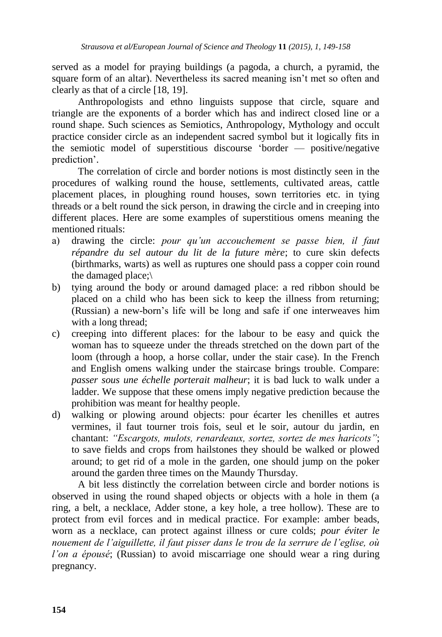served as a model for praying buildings (a pagoda, a church, a pyramid, the square form of an altar). Nevertheless its sacred meaning isn't met so often and clearly as that of a circle [18, 19].

Anthropologists and ethno linguists suppose that circle, square and triangle are the exponents of a border which has and indirect closed line or a round shape. Such sciences as Semiotics, Anthropology, Mythology and occult practice consider circle as an independent sacred symbol but it logically fits in the semiotic model of superstitious discourse 'border — positive/negative prediction'.

The correlation of circle and border notions is most distinctly seen in the procedures of walking round the house, settlements, cultivated areas, cattle placement places, in ploughing round houses, sown territories etc. in tying threads or a belt round the sick person, in drawing the circle and in creeping into different places. Here are some examples of superstitious omens meaning the mentioned rituals:

- а) drawing the circle: *pour qu"un accouchemеnt se passe bien, il faut répandre du sel autour du lit de la future mère*; to cure skin defects (birthmarks, warts) as well as ruptures one should pass a copper coin round the damaged place;\
- b) tying around the body or around damaged place: a red ribbon should be placed on a child who has been sick to keep the illness from returning; (Russian) a new-born's life will be long and safe if one interweaves him with a long thread;
- c) creeping into different places: for the labour to be easy and quick the woman has to squeeze under the threads stretched on the down part of the loom (through a hoop, a horse collar, under the stair case). In the French and English omens walking under the staircase brings trouble. Compare: *passer sous une échelle porterait malheur*; it is bad luck to walk under a ladder. We suppose that these omens imply negative prediction because the prohibition was meant for healthy people.
- d) walking or plowing around objects: pour écarter les chenilles et autres vermines, il faut tourner trois fois, seul et le soir, autour du jardin, en chantant: *"Escargots, mulots, renardeaux, sortez, sortez de mes haricots"*; to save fields and crops from hailstones they should be walked or plowed around; to get rid of a mole in the garden, one should jump on the poker around the garden three times on the Maundy Thursday.

A bit less distinctly the correlation between circle and border notions is observed in using the round shaped objects or objects with a hole in them (a ring, a belt, a necklace, Adder stone, a key hole, a tree hollow). These are to protect from evil forces and in medical practice. For example: amber beads, worn as a necklace, can protect against illness or cure colds; *pour éviter le nouement de l"aiguillette, il faut pisser dans le trou de la serrure de l"eglise, où l"on a épousé*; (Russian) to avoid miscarriage one should wear a ring during pregnancy.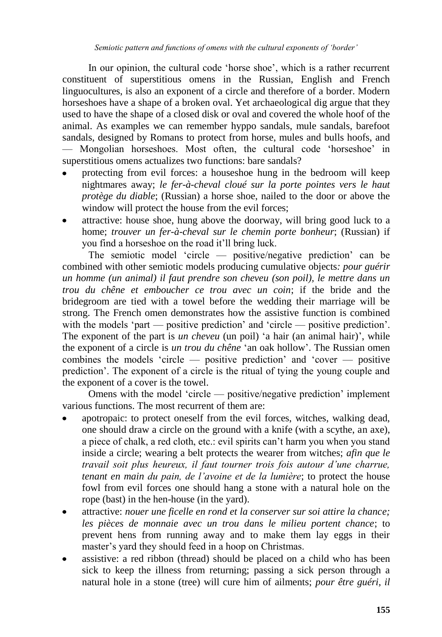In our opinion, the cultural code 'horse shoe', which is a rather recurrent constituent of superstitious omens in the Russian, English and French linguocultures, is also an exponent of a circle and therefore of a border. Modern horseshoes have a shape of a broken oval. Yet archaeological dig argue that they used to have the shape of a closed disk or oval and covered the whole hoof of the animal. As examples we can remember hyppo sandals, mule sandals, barefoot sandals, designed by Romans to protect from horse, mules and bulls hoofs, and — Mongolian horseshoes. Most often, the cultural code 'horseshoe' in superstitious omens actualizes two functions: bare sandals?

- protecting from evil forces: a houseshoe hung in the bedroom will keep nightmares away; *le fer-à-cheval cloué sur la porte pointes vers le haut protège du diable*; (Russian) a horse shoe, nailed to the door or above the window will protect the house from the evil forces;
- attractive: house shoe, hung above the doorway, will bring good luck to a home; *trouver un fer-à-cheval sur le chemin porte bonheur*; (Russian) if you find a horseshoe on the road it'll bring luck.

The semiotic model 'circle — positive/negative prediction' can be combined with other semiotic models producing cumulative objects*: pour guérir un homme (un animal) il faut prendre son cheveu (son poil), le mettre dans un trou du chêne et emboucher ce trou avec un coin*; if the bride and the bridegroom are tied with a towel before the wedding their marriage will be strong. The French omen demonstrates how the assistive function is combined with the models 'part — positive prediction' and 'circle — positive prediction'. The exponent of the part is *un cheveu* (un poil) 'a hair (an animal hair)', while the exponent of a circle is *un trou du chêne* 'an oak hollow'. The Russian omen combines the models 'circle — positive prediction' and 'cover — positive prediction'. The exponent of a circle is the ritual of tying the young couple and the exponent of a cover is the towel.

Omens with the model 'circle — positive/negative prediction' implement various functions. The most recurrent of them are:

- apotropaic: to protect oneself from the evil forces, witches, walking dead, one should draw a circle on the ground with a knife (with a scythe, an axe), a piece of chalk, a red cloth, etc.: evil spirits can't harm you when you stand inside a circle; wearing a belt protects the wearer from witches; *afin que le travail soit plus heureux, il faut tourner trois fois autour d"une charrue, tenant en main du pain, de l"avoine et de la lumière*; to protect the house fowl from evil forces one should hang a stone with a natural hole on the rope (bast) in the hen-house (in the yard).
- attractive: *nouer une ficelle en rond et la conserver sur soi attire la chance; les pièces de monnaie avec un trou dans le milieu portent chance*; to prevent hens from running away and to make them lay eggs in their master's yard they should feed in a hoop on Christmas.
- assistive: a red ribbon (thread) should be placed on a child who has been sick to keep the illness from returning; passing a sick person through a natural hole in a stone (tree) will cure him of ailments; *pour être guéri, il*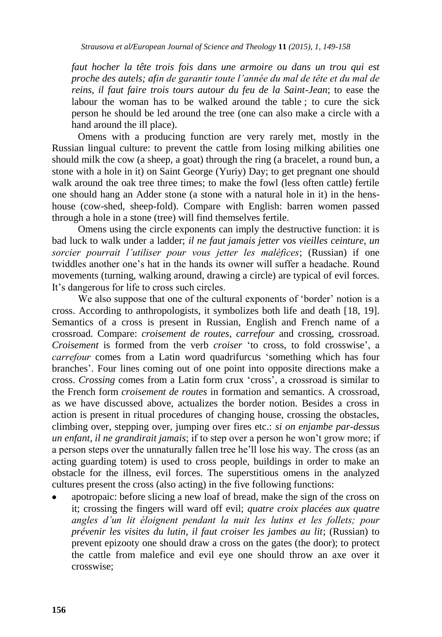*faut hocher la tête trois fois dans une armoire ou dans un trou qui est proche des autels; afin de garantir toute l"année du mal de tête et du mal de reins, il faut faire trois tours autour du feu de la Saint-Jean*; to ease the labour the woman has to be walked around the table ; to cure the sick person he should be led around the tree (one can also make a circle with a hand around the ill place).

Omens with a producing function are very rarely met, mostly in the Russian lingual culture: to prevent the cattle from losing milking abilities one should milk the cow (a sheep, a goat) through the ring (a bracelet, a round bun, a stone with a hole in it) on Saint George (Yuriy) Day; to get pregnant one should walk around the oak tree three times; to make the fowl (less often cattle) fertile one should hang an Adder stone (a stone with a natural hole in it) in the henshouse (cow-shed, sheep-fold). Compare with English: barren women passed through a hole in a stone (tree) will find themselves fertile.

Omens using the circle exponents can imply the destructive function: it is bad luck to walk under a ladder; *il ne faut jamais jetter vos vieilles ceinture, un sorcier pourrait l"utiliser pour vous jetter les maléfices*; (Russian) if one twiddles another one's hat in the hands its owner will suffer a headache. Round movements (turning, walking around, drawing a circle) are typical of evil forces. It's dangerous for life to cross such circles.

We also suppose that one of the cultural exponents of 'border' notion is a cross. According to anthropologists, it symbolizes both life and death [18, 19]. Semantics of a cross is present in Russian, English and French name of a crossroad. Compare: *croisement de routes, carrefour* and crossing, crossroad. *Croisement* is formed from the verb *croiser* 'to cross, to fold crosswise', а *сarrefour* comes from a Latin word quadrifurcus 'something which has four branches'. Four lines coming out of one point into opposite directions make a cross. *Crossing* comes from a Latin form crux 'cross', а crossroad is similar to the French form *croisement de routes* in formation and semantics. A crossroad, as we have discussed above, actualizes the border notion. Besides a cross in action is present in ritual procedures of changing house, crossing the obstacles, climbing over, stepping over, jumping over fires etc.: *si on enjambe par-dessus un enfant, il ne grandirait jamais*; if to step over a person he won't grow more; if a person steps over the unnaturally fallen tree he'll lose his way. The cross (as an acting guarding totem) is used to cross people, buildings in order to make an obstacle for the illness, evil forces. The superstitious omens in the analyzed cultures present the cross (also acting) in the five following functions:

apotropaic: before slicing a new loaf of bread, make the sign of the cross on it; crossing the fingers will ward off evil; *quatre croix placées aux quatre angles d"un lit éloignent pendant la nuit les lutins et les follets; pour prévenir les visites du lutin, il faut croiser les jambes au lit*; (Russian) to prevent epizooty one should draw a cross on the gates (the door); to protect the cattle from malefice and evil eye one should throw an axe over it crosswise;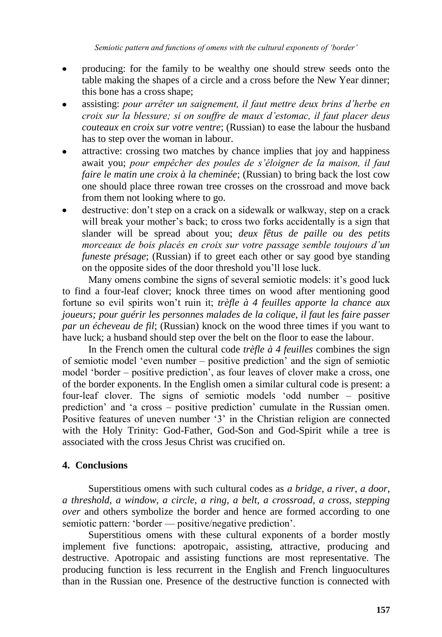- producing: for the family to be wealthy one should strew seeds onto the table making the shapes of a circle and a cross before the New Year dinner; this bone has a cross shape;
- assisting: *pour arrêter un saignement, il faut mettre deux brins d"herbe en croix sur la blessure; si on souffre de maux d"estomac, il faut placer deus couteaux en croix sur votre ventre*; (Russian) to ease the labour the husband has to step over the woman in labour.
- attractive: crossing two matches by chance implies that joy and happiness await you; *pour empêcher des poules de s"éloigner de la maison, il faut faire le matin une croix à la cheminée*; (Russian) to bring back the lost cow one should place three rowan tree crosses on the crossroad and move back from them not looking where to go.
- destructive: don't step on a crack on a sidewalk or walkway, step on a crack will break your mother's back; to cross two forks accidentally is a sign that slander will be spread about you; *deux fêtus de paille ou des petits morceaux de bois placés en croix sur votre passage semble toujours d"un funeste présage*; (Russian) if to greet each other or say good bye standing on the opposite sides of the door threshold you'll lose luck.

Many omens combine the signs of several semiotic models: it's good luck to find a four-leaf clover; knock three times on wood after mentioning good fortune so evil spirits won't ruin it; *trèfle à 4 feuilles apporte la chance aux joueurs; pour guérir les personnes malades de la colique, il faut les faire passer par un écheveau de fil*; (Russian) knock on the wood three times if you want to have luck; a husband should step over the belt on the floor to ease the labour.

In the French omen the cultural code *trèfle à 4 feuilles* combines the sign of semiotic model 'even number – positive prediction' and the sign of semiotic model 'border – positive prediction', as four leaves of clover make a cross, one of the border exponents. In the English omen a similar cultural code is present: a four-leaf clover. The signs of semiotic models 'odd number – positive prediction' and 'a cross – positive prediction' cumulate in the Russian omen. Positive features of uneven number '3' in the Christian religion are connected with the Holy Trinity: God-Father, God-Son and God-Spirit while a tree is associated with the cross Jesus Christ was crucified on.

#### **4. Conclusions**

Superstitious omens with such cultural codes as *a bridge, a river, a door, a threshold, a window, a circle, a ring, a belt, a crossroad, a cross, stepping over* and others symbolize the border and hence are formed according to one semiotic pattern: 'border — positive/negative prediction'.

Superstitious omens with these cultural exponents of a border mostly implement five functions: apotropaic, assisting, attractive, producing and destructive. Apotropaic and assisting functions are most representative. The producing function is less recurrent in the English and French linguocultures than in the Russian one. Presence of the destructive function is connected with